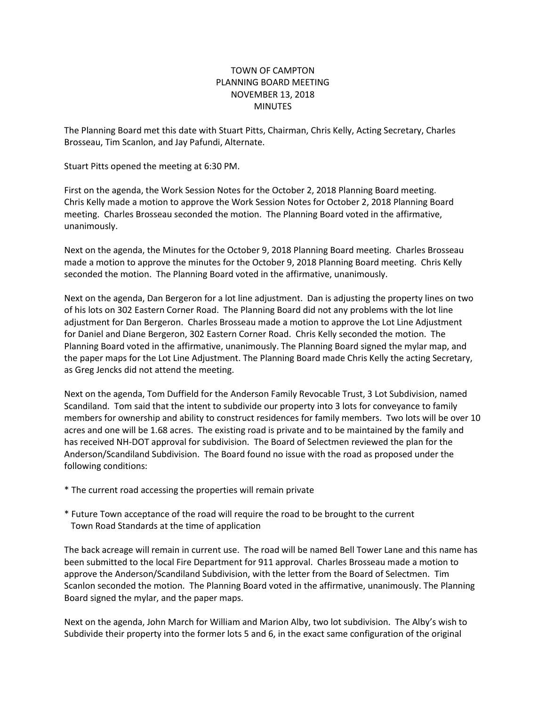## TOWN OF CAMPTON PLANNING BOARD MEETING NOVEMBER 13, 2018 MINUTES

The Planning Board met this date with Stuart Pitts, Chairman, Chris Kelly, Acting Secretary, Charles Brosseau, Tim Scanlon, and Jay Pafundi, Alternate.

Stuart Pitts opened the meeting at 6:30 PM.

First on the agenda, the Work Session Notes for the October 2, 2018 Planning Board meeting. Chris Kelly made a motion to approve the Work Session Notes for October 2, 2018 Planning Board meeting. Charles Brosseau seconded the motion. The Planning Board voted in the affirmative, unanimously.

Next on the agenda, the Minutes for the October 9, 2018 Planning Board meeting. Charles Brosseau made a motion to approve the minutes for the October 9, 2018 Planning Board meeting. Chris Kelly seconded the motion. The Planning Board voted in the affirmative, unanimously.

Next on the agenda, Dan Bergeron for a lot line adjustment. Dan is adjusting the property lines on two of his lots on 302 Eastern Corner Road. The Planning Board did not any problems with the lot line adjustment for Dan Bergeron. Charles Brosseau made a motion to approve the Lot Line Adjustment for Daniel and Diane Bergeron, 302 Eastern Corner Road. Chris Kelly seconded the motion. The Planning Board voted in the affirmative, unanimously. The Planning Board signed the mylar map, and the paper maps for the Lot Line Adjustment. The Planning Board made Chris Kelly the acting Secretary, as Greg Jencks did not attend the meeting.

Next on the agenda, Tom Duffield for the Anderson Family Revocable Trust, 3 Lot Subdivision, named Scandiland. Tom said that the intent to subdivide our property into 3 lots for conveyance to family members for ownership and ability to construct residences for family members. Two lots will be over 10 acres and one will be 1.68 acres. The existing road is private and to be maintained by the family and has received NH-DOT approval for subdivision. The Board of Selectmen reviewed the plan for the Anderson/Scandiland Subdivision. The Board found no issue with the road as proposed under the following conditions:

- \* The current road accessing the properties will remain private
- \* Future Town acceptance of the road will require the road to be brought to the current Town Road Standards at the time of application

The back acreage will remain in current use. The road will be named Bell Tower Lane and this name has been submitted to the local Fire Department for 911 approval. Charles Brosseau made a motion to approve the Anderson/Scandiland Subdivision, with the letter from the Board of Selectmen. Tim Scanlon seconded the motion. The Planning Board voted in the affirmative, unanimously. The Planning Board signed the mylar, and the paper maps.

Next on the agenda, John March for William and Marion Alby, two lot subdivision. The Alby's wish to Subdivide their property into the former lots 5 and 6, in the exact same configuration of the original